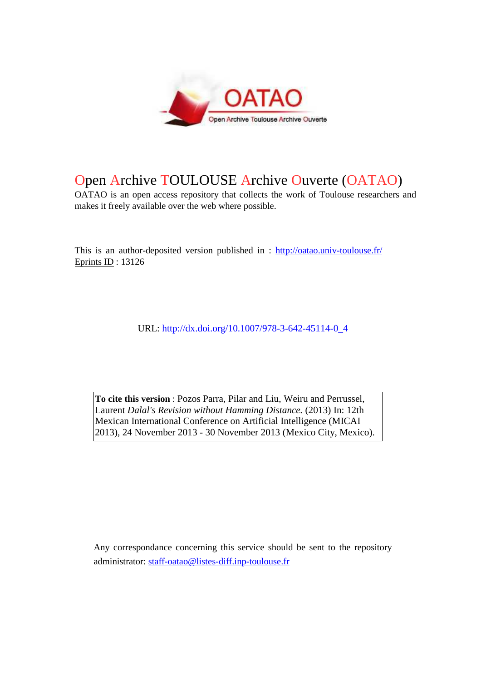

# Open Archive TOULOUSE Archive Ouverte (OATAO)

OATAO is an open access repository that collects the work of Toulouse researchers and makes it freely available over the web where possible.

This is an author-deposited version published in : http://oatao.univ-toulouse.fr/ Eprints ID : 13126

URL: http://dx.doi.org/10.1007/978-3-642-45114-0\_4

**To cite this version** : Pozos Parra, Pilar and Liu, Weiru and Perrussel, Laurent *Dalal's Revision without Hamming Distance.* (2013) In: 12th Mexican International Conference on Artificial Intelligence (MICAI 2013), 24 November 2013 - 30 November 2013 (Mexico City, Mexico).

Any correspondance concerning this service should be sent to the repository administrator: staff-oatao@listes-diff.inp-toulouse.fr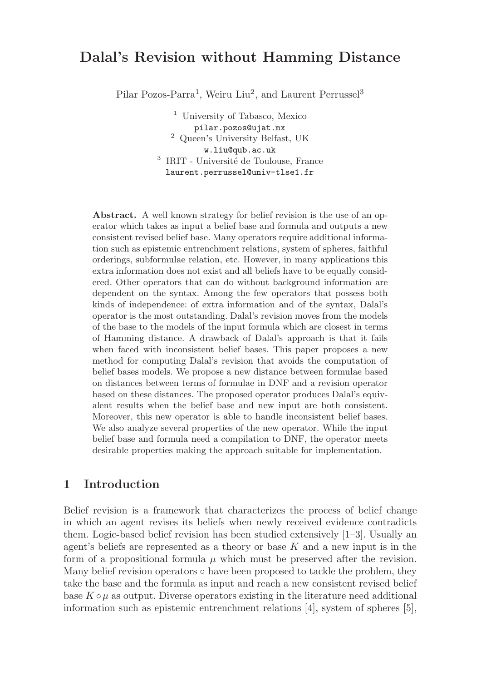## Dalal's Revision without Hamming Distance

Pilar Pozos-Parra<sup>1</sup>, Weiru Liu<sup>2</sup>, and Laurent Perrussel<sup>3</sup>

<sup>1</sup> University of Tabasco, Mexico pilar.pozos@ujat.mx <sup>2</sup> Queen's University Belfast, UK w.liu@qub.ac.uk <sup>3</sup> IRIT - Université de Toulouse, France laurent.perrussel@univ-tlse1.fr

Abstract. A well known strategy for belief revision is the use of an operator which takes as input a belief base and formula and outputs a new consistent revised belief base. Many operators require additional information such as epistemic entrenchment relations, system of spheres, faithful orderings, subformulae relation, etc. However, in many applications this extra information does not exist and all beliefs have to be equally considered. Other operators that can do without background information are dependent on the syntax. Among the few operators that possess both kinds of independence: of extra information and of the syntax, Dalal's operator is the most outstanding. Dalal's revision moves from the models of the base to the models of the input formula which are closest in terms of Hamming distance. A drawback of Dalal's approach is that it fails when faced with inconsistent belief bases. This paper proposes a new method for computing Dalal's revision that avoids the computation of belief bases models. We propose a new distance between formulae based on distances between terms of formulae in DNF and a revision operator based on these distances. The proposed operator produces Dalal's equivalent results when the belief base and new input are both consistent. Moreover, this new operator is able to handle inconsistent belief bases. We also analyze several properties of the new operator. While the input belief base and formula need a compilation to DNF, the operator meets desirable properties making the approach suitable for implementation.

## 1 Introduction

Belief revision is a framework that characterizes the process of belief change in which an agent revises its beliefs when newly received evidence contradicts them. Logic-based belief revision has been studied extensively [1–3]. Usually an agent's beliefs are represented as a theory or base  $K$  and a new input is in the form of a propositional formula  $\mu$  which must be preserved after the revision. Many belief revision operators ◦ have been proposed to tackle the problem, they take the base and the formula as input and reach a new consistent revised belief base  $K \circ \mu$  as output. Diverse operators existing in the literature need additional information such as epistemic entrenchment relations [4], system of spheres [5],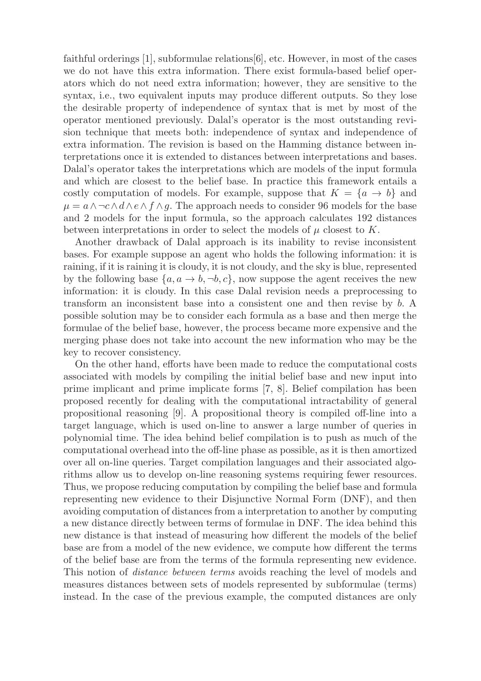faithful orderings [1], subformulae relations[6], etc. However, in most of the cases we do not have this extra information. There exist formula-based belief operators which do not need extra information; however, they are sensitive to the syntax, i.e., two equivalent inputs may produce different outputs. So they lose the desirable property of independence of syntax that is met by most of the operator mentioned previously. Dalal's operator is the most outstanding revision technique that meets both: independence of syntax and independence of extra information. The revision is based on the Hamming distance between interpretations once it is extended to distances between interpretations and bases. Dalal's operator takes the interpretations which are models of the input formula and which are closest to the belief base. In practice this framework entails a costly computation of models. For example, suppose that  $K = \{a \rightarrow b\}$  and  $\mu = a \wedge \neg c \wedge d \wedge e \wedge f \wedge g$ . The approach needs to consider 96 models for the base and 2 models for the input formula, so the approach calculates 192 distances between interpretations in order to select the models of  $\mu$  closest to  $K$ .

Another drawback of Dalal approach is its inability to revise inconsistent bases. For example suppose an agent who holds the following information: it is raining, if it is raining it is cloudy, it is not cloudy, and the sky is blue, represented by the following base  $\{a, a \to b, \neg b, c\}$ , now suppose the agent receives the new information: it is cloudy. In this case Dalal revision needs a preprocessing to transform an inconsistent base into a consistent one and then revise by b. A possible solution may be to consider each formula as a base and then merge the formulae of the belief base, however, the process became more expensive and the merging phase does not take into account the new information who may be the key to recover consistency.

On the other hand, efforts have been made to reduce the computational costs associated with models by compiling the initial belief base and new input into prime implicant and prime implicate forms [7, 8]. Belief compilation has been proposed recently for dealing with the computational intractability of general propositional reasoning [9]. A propositional theory is compiled off-line into a target language, which is used on-line to answer a large number of queries in polynomial time. The idea behind belief compilation is to push as much of the computational overhead into the off-line phase as possible, as it is then amortized over all on-line queries. Target compilation languages and their associated algorithms allow us to develop on-line reasoning systems requiring fewer resources. Thus, we propose reducing computation by compiling the belief base and formula representing new evidence to their Disjunctive Normal Form (DNF), and then avoiding computation of distances from a interpretation to another by computing a new distance directly between terms of formulae in DNF. The idea behind this new distance is that instead of measuring how different the models of the belief base are from a model of the new evidence, we compute how different the terms of the belief base are from the terms of the formula representing new evidence. This notion of distance between terms avoids reaching the level of models and measures distances between sets of models represented by subformulae (terms) instead. In the case of the previous example, the computed distances are only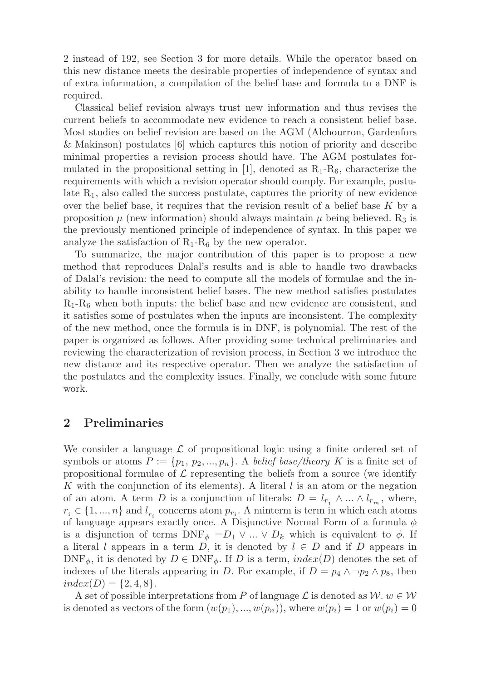2 instead of 192, see Section 3 for more details. While the operator based on this new distance meets the desirable properties of independence of syntax and of extra information, a compilation of the belief base and formula to a DNF is required.

Classical belief revision always trust new information and thus revises the current beliefs to accommodate new evidence to reach a consistent belief base. Most studies on belief revision are based on the AGM (Alchourron, Gardenfors & Makinson) postulates [6] which captures this notion of priority and describe minimal properties a revision process should have. The AGM postulates formulated in the propositional setting in [1], denoted as  $R_1-R_6$ , characterize the requirements with which a revision operator should comply. For example, postulate  $R_1$ , also called the success postulate, captures the priority of new evidence over the belief base, it requires that the revision result of a belief base  $K$  by a proposition  $\mu$  (new information) should always maintain  $\mu$  being believed. R<sub>3</sub> is the previously mentioned principle of independence of syntax. In this paper we analyze the satisfaction of  $R_1-R_6$  by the new operator.

To summarize, the major contribution of this paper is to propose a new method that reproduces Dalal's results and is able to handle two drawbacks of Dalal's revision: the need to compute all the models of formulae and the inability to handle inconsistent belief bases. The new method satisfies postulates  $R_1-R_6$  when both inputs: the belief base and new evidence are consistent, and it satisfies some of postulates when the inputs are inconsistent. The complexity of the new method, once the formula is in DNF, is polynomial. The rest of the paper is organized as follows. After providing some technical preliminaries and reviewing the characterization of revision process, in Section 3 we introduce the new distance and its respective operator. Then we analyze the satisfaction of the postulates and the complexity issues. Finally, we conclude with some future work.

#### 2 Preliminaries

We consider a language  $\mathcal L$  of propositional logic using a finite ordered set of symbols or atoms  $P := \{p_1, p_2, ..., p_n\}$ . A belief base/theory K is a finite set of propositional formulae of  $\mathcal L$  representing the beliefs from a source (we identify K with the conjunction of its elements). A literal  $l$  is an atom or the negation of an atom. A term D is a conjunction of literals:  $D = l_{r_1} \wedge ... \wedge l_{r_m}$ , where,  $r_i \in \{1, ..., n\}$  and  $l_{r_i}$  concerns atom  $p_{r_i}$ . A minterm is term in which each atoms of language appears exactly once. A Disjunctive Normal Form of a formula  $\phi$ is a disjunction of terms  $DNF_{\phi} = D_1 \vee ... \vee D_k$  which is equivalent to  $\phi$ . If a literal l appears in a term D, it is denoted by  $l \in D$  and if D appears in  $\text{DNF}_{\phi}$ , it is denoted by  $D \in \text{DNF}_{\phi}$ . If D is a term,  $index(D)$  denotes the set of indexes of the literals appearing in D. For example, if  $D = p_4 \wedge \neg p_2 \wedge p_8$ , then  $index(D) = \{2, 4, 8\}.$ 

A set of possible interpretations from P of language  $\mathcal L$  is denoted as  $\mathcal W$ .  $w \in \mathcal W$ is denoted as vectors of the form  $(w(p_1), ..., w(p_n))$ , where  $w(p_i) = 1$  or  $w(p_i) = 0$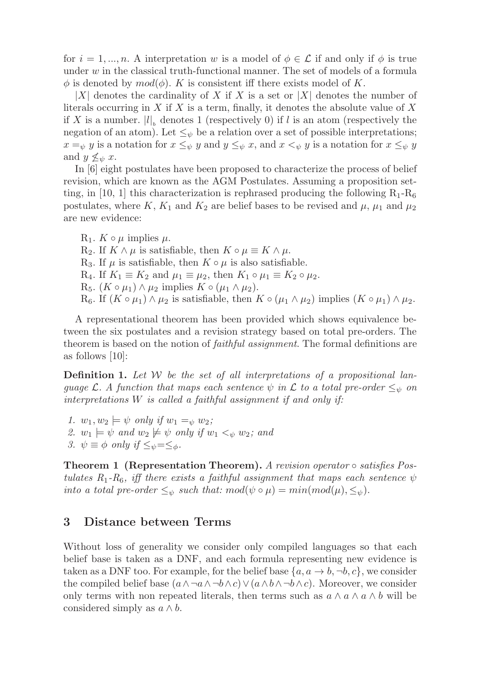for  $i = 1, ..., n$ . A interpretation w is a model of  $\phi \in \mathcal{L}$  if and only if  $\phi$  is true under  $w$  in the classical truth-functional manner. The set of models of a formula  $\phi$  is denoted by  $mod(\phi)$ . K is consistent iff there exists model of K.

|X| denotes the cardinality of X if X is a set or |X| denotes the number of literals occurring in  $X$  if  $X$  is a term, finally, it denotes the absolute value of  $X$ if X is a number.  $|l|_b$  denotes 1 (respectively 0) if l is an atom (respectively the negation of an atom). Let  $\leq_{\psi}$  be a relation over a set of possible interpretations;  $x =_\psi y$  is a notation for  $x \leq_\psi y$  and  $y \leq_\psi x$ , and  $x <_\psi y$  is a notation for  $x \leq_\psi y$ and  $y \nleq_{\psi} x$ .

In [6] eight postulates have been proposed to characterize the process of belief revision, which are known as the AGM Postulates. Assuming a proposition setting, in [10, 1] this characterization is rephrased producing the following  $R_1-R_6$ postulates, where K,  $K_1$  and  $K_2$  are belief bases to be revised and  $\mu$ ,  $\mu_1$  and  $\mu_2$ are new evidence:

 $R_1$ .  $K \circ \mu$  implies  $\mu$ . R<sub>2</sub>. If  $K \wedge \mu$  is satisfiable, then  $K \circ \mu \equiv K \wedge \mu$ . R<sub>3</sub>. If  $\mu$  is satisfiable, then  $K \circ \mu$  is also satisfiable. R<sub>4</sub>. If  $K_1 \equiv K_2$  and  $\mu_1 \equiv \mu_2$ , then  $K_1 \circ \mu_1 \equiv K_2 \circ \mu_2$ . R<sub>5</sub>.  $(K \circ \mu_1) \wedge \mu_2$  implies  $K \circ (\mu_1 \wedge \mu_2)$ . R<sub>6</sub>. If  $(K \circ \mu_1) \wedge \mu_2$  is satisfiable, then  $K \circ (\mu_1 \wedge \mu_2)$  implies  $(K \circ \mu_1) \wedge \mu_2$ .

A representational theorem has been provided which shows equivalence between the six postulates and a revision strategy based on total pre-orders. The theorem is based on the notion of *faithful assignment*. The formal definitions are as follows [10]:

**Definition 1.** Let  $W$  be the set of all interpretations of a propositional language L. A function that maps each sentence  $\psi$  in L to a total pre-order  $\leq_{\psi}$  on interpretations W is called a faithful assignment if and only if:

1.  $w_1, w_2 \models \psi$  only if  $w_1 =_{\psi} w_2$ ; 2.  $w_1 \models \psi$  and  $w_2 \not\models \psi$  only if  $w_1 <_{\psi} w_2$ ; and 3.  $\psi \equiv \phi$  only if  $\leq_{\psi} = \leq_{\phi}$ .

**Theorem 1 (Representation Theorem).** A revision operator  $\circ$  satisfies Postulates  $R_1-R_6$ , iff there exists a faithful assignment that maps each sentence  $\psi$ into a total pre-order  $\leq_{\psi}$  such that:  $mod(\psi \circ \mu) = min(mod(\mu), \leq_{\psi}).$ 

## 3 Distance between Terms

Without loss of generality we consider only compiled languages so that each belief base is taken as a DNF, and each formula representing new evidence is taken as a DNF too. For example, for the belief base  $\{a, a \rightarrow b, \neg b, c\}$ , we consider the compiled belief base  $(a \wedge \neg a \wedge \neg b \wedge c) \vee (a \wedge b \wedge \neg b \wedge c)$ . Moreover, we consider only terms with non repeated literals, then terms such as  $a \wedge a \wedge a \wedge b$  will be considered simply as  $a \wedge b$ .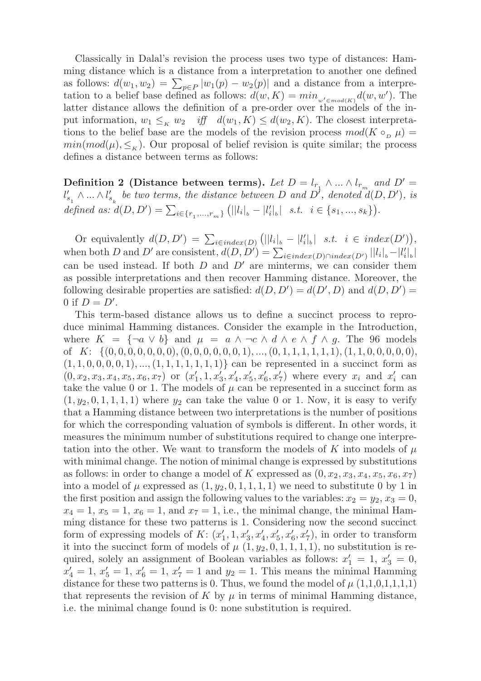Classically in Dalal's revision the process uses two type of distances: Hamming distance which is a distance from a interpretation to another one defined as follows:  $d(w_1, w_2) = \sum_{p \in P} |w_1(p) - w_2(p)|$  and a distance from a interpretation to a belief base defined as follows:  $d(w, K) = min_{w' \in mod(K)} d(w, w')$ . The latter distance allows the definition of a pre-order over the models of the input information,  $w_1 \leq_K w_2$  iff  $d(w_1, K) \leq d(w_2, K)$ . The closest interpretations to the belief base are the models of the revision process  $mod(K \circ_{D} \mu)$  =  $min(mod(\mu),\leq_{\kappa})$ . Our proposal of belief revision is quite similar; the process defines a distance between terms as follows:

Definition 2 (Distance between terms). Let  $D = l_{r_1} \wedge ... \wedge l_{r_m}$  and  $D' =$  $l'_{s_1} \wedge ... \wedge l'_{s_k}$  be two terms, the distance between  $D$  and  $D^{\tilde{I}}$ , denoted  $\tilde{d}(D, D')$ , is defined as:  $d(D, D') = \sum_{i \in \{r_1, ..., r_m\}} (||l_i|_b - |l'_i|_b | s.t. \ i \in \{s_1, ..., s_k\}).$ 

Or equivalently  $d(D, D') = \sum_{i \in index(D)} (||l_i||_b - |l'_i||_b | s.t. \text{ i } \in index(D'))$ , when both D and D' are consistent,  $d(D, D') = \sum_{i \in index(D) \cap index(D')} ||l_i|_b - |l'_i|_b$ can be used instead. If both  $D$  and  $D'$  are minterms, we can consider them as possible interpretations and then recover Hamming distance. Moreover, the following desirable properties are satisfied:  $d(D, D') = d(D', D)$  and  $d(D, D') =$ 0 if  $D = D'$ .

This term-based distance allows us to define a succinct process to reproduce minimal Hamming distances. Consider the example in the Introduction, where  $K = {\neg a \lor b}$  and  $\mu = a \land \neg c \land d \land e \land f \land g$ . The 96 models of  $K: \{(0, 0, 0, 0, 0, 0, 0), (0, 0, 0, 0, 0, 1), ..., (0, 1, 1, 1, 1, 1, 1), (1, 1, 0, 0, 0, 0, 0),\}$  $(1, 1, 0, 0, 0, 0, 1), ..., (1, 1, 1, 1, 1, 1, 1)$  can be represented in a succinct form as  $(0, x_2, x_3, x_4, x_5, x_6, x_7)$  or  $(x'_1, 1, x'_3, x'_4, x'_5, x'_6, x'_7)$  where every  $x_i$  and  $x'_i$  can take the value 0 or 1. The models of  $\mu$  can be represented in a succinct form as  $(1, y_2, 0, 1, 1, 1, 1)$  where  $y_2$  can take the value 0 or 1. Now, it is easy to verify that a Hamming distance between two interpretations is the number of positions for which the corresponding valuation of symbols is different. In other words, it measures the minimum number of substitutions required to change one interpretation into the other. We want to transform the models of K into models of  $\mu$ with minimal change. The notion of minimal change is expressed by substitutions as follows: in order to change a model of K expressed as  $(0, x_2, x_3, x_4, x_5, x_6, x_7)$ into a model of  $\mu$  expressed as  $(1, y_2, 0, 1, 1, 1, 1)$  we need to substitute 0 by 1 in the first position and assign the following values to the variables:  $x_2 = y_2, x_3 = 0$ ,  $x_4 = 1, x_5 = 1, x_6 = 1,$  and  $x_7 = 1$ , i.e., the minimal change, the minimal Hamming distance for these two patterns is 1. Considering now the second succinct form of expressing models of  $K: (x'_1, 1, x'_3, x'_4, x'_5, x'_6, x'_7)$ , in order to transform it into the succinct form of models of  $\mu$   $(1, y_2, 0, 1, 1, 1, 1)$ , no substitution is required, solely an assignment of Boolean variables as follows:  $x'_1 = 1, x'_3 = 0$ ,  $x'_4 = 1, x'_5 = 1, x'_6 = 1, x'_7 = 1$  and  $y_2 = 1$ . This means the minimal Hamming distance for these two patterns is 0. Thus, we found the model of  $\mu$   $(1,1,0,1,1,1,1)$ that represents the revision of K by  $\mu$  in terms of minimal Hamming distance, i.e. the minimal change found is 0: none substitution is required.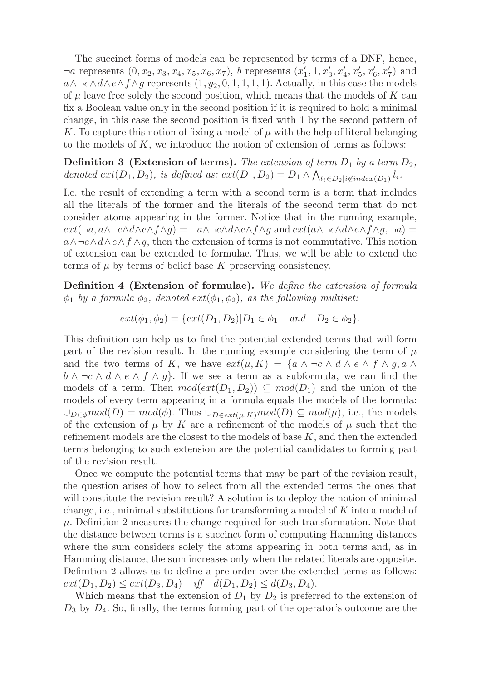The succinct forms of models can be represented by terms of a DNF, hence,  $\neg a$  represents  $(0, x_2, x_3, x_4, x_5, x_6, x_7)$ , b represents  $(x'_1, 1, x'_3, x'_4, x'_5, x'_6, x'_7)$  and  $a \wedge \neg c \wedge d \wedge e \wedge f \wedge g$  represents  $(1, y_2, 0, 1, 1, 1, 1)$ . Actually, in this case the models of  $\mu$  leave free solely the second position, which means that the models of K can fix a Boolean value only in the second position if it is required to hold a minimal change, in this case the second position is fixed with 1 by the second pattern of K. To capture this notion of fixing a model of  $\mu$  with the help of literal belonging to the models of  $K$ , we introduce the notion of extension of terms as follows:

**Definition 3 (Extension of terms).** The extension of term  $D_1$  by a term  $D_2$ , denoted  $ext(D_1, D_2)$ , is defined as:  $ext(D_1, D_2) = D_1 \wedge \bigwedge_{l_i \in D_2 | i \notin index(D_1)} l_i$ .

I.e. the result of extending a term with a second term is a term that includes all the literals of the former and the literals of the second term that do not consider atoms appearing in the former. Notice that in the running example,  $ext(\neg a, a \land \neg c \land d \land e \land f \land g) = \neg a \land \neg c \land d \land e \land f \land g$  and  $ext(a \land \neg c \land d \land e \land f \land g, \neg a) =$  $a \wedge \neg c \wedge d \wedge e \wedge f \wedge g$ , then the extension of terms is not commutative. This notion of extension can be extended to formulae. Thus, we will be able to extend the terms of  $\mu$  by terms of belief base K preserving consistency.

Definition 4 (Extension of formulae). We define the extension of formula  $\phi_1$  by a formula  $\phi_2$ , denoted  $ext(\phi_1, \phi_2)$ , as the following multiset:

 $ext(\phi_1, \phi_2) = \{ext(D_1, D_2) | D_1 \in \phi_1 \text{ and } D_2 \in \phi_2 \}.$ 

This definition can help us to find the potential extended terms that will form part of the revision result. In the running example considering the term of  $\mu$ and the two terms of K, we have  $ext(\mu, K) = \{a \land \neg c \land d \land e \land f \land g, a \land c \land f \land g, c \land f \land g, c \land c \land f \land g, d \land c \land f \land g, d \land c \land f \land g, d \land c \land f \land g, d \land c \land f \land g, d \land c \land f \land g, d \land c \land f \land g, d \land c \land f \land g, d \land c \land f \land g, d \land c \land f \land g, d \land c \land f \land g, d \land c \land f \land g, d \land c \land f \land$  $b \wedge \neg c \wedge d \wedge e \wedge f \wedge g$ . If we see a term as a subformula, we can find the models of a term. Then  $mod(ext(D_1, D_2)) \subseteq mod(D_1)$  and the union of the models of every term appearing in a formula equals the models of the formula:  $\bigcup_{D \in \phi} mod(D) = mod(\phi)$ . Thus  $\bigcup_{D \in ext(\mu,K)} mod(D) \subseteq mod(\mu)$ , i.e., the models of the extension of  $\mu$  by K are a refinement of the models of  $\mu$  such that the refinement models are the closest to the models of base  $K$ , and then the extended terms belonging to such extension are the potential candidates to forming part of the revision result.

Once we compute the potential terms that may be part of the revision result, the question arises of how to select from all the extended terms the ones that will constitute the revision result? A solution is to deploy the notion of minimal change, i.e., minimal substitutions for transforming a model of K into a model of  $\mu$ . Definition 2 measures the change required for such transformation. Note that the distance between terms is a succinct form of computing Hamming distances where the sum considers solely the atoms appearing in both terms and, as in Hamming distance, the sum increases only when the related literals are opposite. Definition 2 allows us to define a pre-order over the extended terms as follows:  $ext(D_1, D_2) \leq ext(D_3, D_4)$  iff  $d(D_1, D_2) \leq d(D_3, D_4)$ .

Which means that the extension of  $D_1$  by  $D_2$  is preferred to the extension of  $D_3$  by  $D_4$ . So, finally, the terms forming part of the operator's outcome are the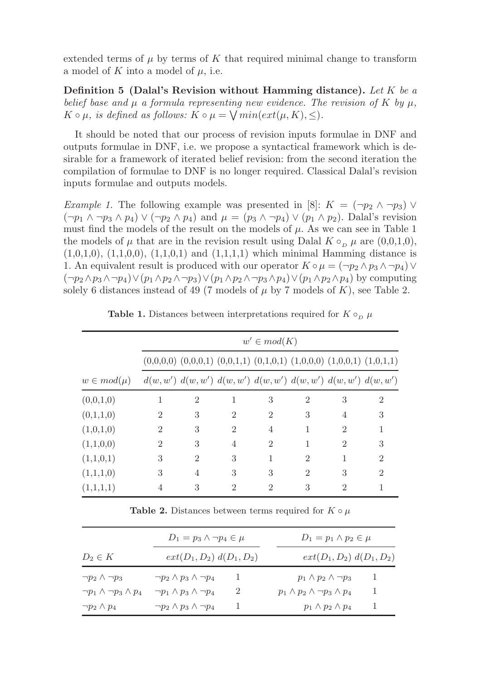extended terms of  $\mu$  by terms of K that required minimal change to transform a model of K into a model of  $\mu$ , i.e.

Definition 5 (Dalal's Revision without Hamming distance). Let K be a belief base and  $\mu$  a formula representing new evidence. The revision of K by  $\mu$ ,  $K \circ \mu$ , is defined as follows:  $K \circ \mu = \sqrt{min(x t(\mu, K), \le)}$ .

It should be noted that our process of revision inputs formulae in DNF and outputs formulae in DNF, i.e. we propose a syntactical framework which is desirable for a framework of iterated belief revision: from the second iteration the compilation of formulae to DNF is no longer required. Classical Dalal's revision inputs formulae and outputs models.

*Example 1.* The following example was presented in [8]:  $K = (\neg p_2 \land \neg p_3) \lor$  $(\neg p_1 \land \neg p_3 \land p_4) \lor (\neg p_2 \land p_4)$  and  $\mu = (p_3 \land \neg p_4) \lor (p_1 \land p_2)$ . Dalal's revision must find the models of the result on the models of  $\mu$ . As we can see in Table 1 the models of  $\mu$  that are in the revision result using Dalal  $K \circ_{\rho} \mu$  are  $(0,0,1,0),$  $(1,0,1,0), (1,1,0,0), (1,1,0,1)$  and  $(1,1,1,1)$  which minimal Hamming distance is 1. An equivalent result is produced with our operator  $K \circ \mu = (\neg p_2 \land p_3 \land \neg p_4) \lor$  $(\neg p_2 \land p_3 \land \neg p_4) \lor (p_1 \land p_2 \land \neg p_3) \lor (p_1 \land p_2 \land \neg p_3 \land p_4) \lor (p_1 \land p_2 \land p_4)$  by computing solely 6 distances instead of 49 (7 models of  $\mu$  by 7 models of K), see Table 2.

|                  | $w' \in mod(K)$             |                                                                                     |                             |                             |                             |                             |                |
|------------------|-----------------------------|-------------------------------------------------------------------------------------|-----------------------------|-----------------------------|-----------------------------|-----------------------------|----------------|
|                  |                             | $(0,0,0,0)$ $(0,0,0,1)$ $(0,0,1,1)$ $(0,1,0,1)$ $(1,0,0,0)$ $(1,0,0,1)$ $(1,0,1,1)$ |                             |                             |                             |                             |                |
| $w \in mod(\mu)$ |                             | $d(w, w') d(w, w') d(w, w') d(w, w') d(w, w') d(w, w') d(w, w')$                    |                             |                             |                             |                             |                |
| (0,0,1,0)        | 1                           | $\overline{2}$                                                                      | 1                           | 3                           | $\overline{2}$              | 3                           | $\overline{2}$ |
| (0,1,1,0)        | $\mathcal{D}_{\mathcal{L}}$ | 3                                                                                   | $\overline{2}$              | $\overline{2}$              | 3                           | $\overline{4}$              | 3              |
| (1,0,1,0)        | $\overline{2}$              | 3                                                                                   | $\overline{2}$              | $\overline{4}$              |                             | $\mathcal{D}_{\mathcal{L}}$ | 1              |
| (1,1,0,0)        | $\overline{2}$              | 3                                                                                   | $\overline{4}$              | $\overline{2}$              | 1                           | $\mathcal{D}_{\mathcal{L}}$ | 3              |
| (1,1,0,1)        | 3                           | $\overline{2}$                                                                      | 3                           | 1                           | $\mathcal{D}_{\mathcal{L}}$ |                             | $\overline{2}$ |
| (1,1,1,0)        | 3                           | $\overline{4}$                                                                      | 3                           | 3                           | $\mathcal{D}_{\mathcal{L}}$ | 3                           | $\overline{2}$ |
| (1,1,1,1)        | 4                           | 3                                                                                   | $\mathcal{D}_{\mathcal{L}}$ | $\mathcal{D}_{\mathcal{A}}$ | 3                           | $\mathcal{D}_{\mathcal{L}}$ |                |

**Table 1.** Distances between interpretations required for  $K \circ_{D} \mu$ 

**Table 2.** Distances between terms required for  $K \circ \mu$ 

|                                       | $D_1 = p_3 \wedge \neg p_4 \in \mu$ | $D_1 = p_1 \wedge p_2 \in \mu$              |   |  |
|---------------------------------------|-------------------------------------|---------------------------------------------|---|--|
| $D_2 \in K$                           | $ext(D_1, D_2) d(D_1, D_2)$         | $ext(D_1, D_2) d(D_1, D_2)$                 |   |  |
| $\neg p_2 \wedge \neg p_3$            | $\neg p_2 \land p_3 \land \neg p_4$ | $p_1 \wedge p_2 \wedge \neg p_3$            |   |  |
| $\neg p_1 \wedge \neg p_3 \wedge p_4$ | $\neg p_1 \land p_3 \land \neg p_4$ | $p_1 \wedge p_2 \wedge \neg p_3 \wedge p_4$ | T |  |
| $\neg p_2 \wedge p_4$                 | $\neg p_2 \land p_3 \land \neg p_4$ | $p_1 \wedge p_2 \wedge p_4$                 |   |  |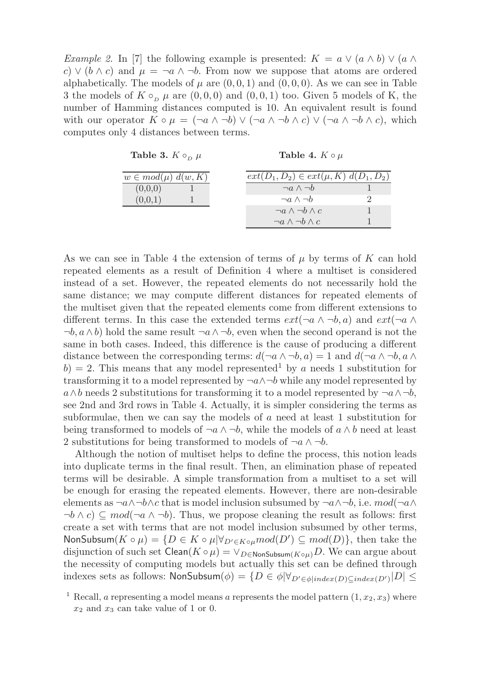Example 2. In [7] the following example is presented:  $K = a \vee (a \wedge b) \vee (a \wedge b)$ c)  $\vee$  ( $b \wedge c$ ) and  $\mu = \neg a \wedge \neg b$ . From now we suppose that atoms are ordered alphabetically. The models of  $\mu$  are  $(0, 0, 1)$  and  $(0, 0, 0)$ . As we can see in Table 3 the models of  $K \circ_{D} \mu$  are  $(0, 0, 0)$  and  $(0, 0, 1)$  too. Given 5 models of K, the number of Hamming distances computed is 10. An equivalent result is found with our operator  $K \circ \mu = (\neg a \land \neg b) \lor (\neg a \land \neg b \land c) \lor (\neg a \land \neg b \land c)$ , which computes only 4 distances between terms.

| <b>Table 3.</b> $K \circ_{D} \mu$ |  | Table 4. $K \circ \mu$                      |  |
|-----------------------------------|--|---------------------------------------------|--|
| $w \in mod(\mu) d(w, K)$          |  | $ext(D_1, D_2) \in ext(\mu, K) d(D_1, D_2)$ |  |
| (0,0,0)                           |  | $\neg a \wedge \neg b$                      |  |
| (0,0,1)                           |  | $\neg a \wedge \neg b$                      |  |
|                                   |  | $\neg a \wedge \neg b \wedge c$             |  |
|                                   |  | $\neg a \wedge \neg b \wedge c$             |  |

As we can see in Table 4 the extension of terms of  $\mu$  by terms of K can hold repeated elements as a result of Definition 4 where a multiset is considered instead of a set. However, the repeated elements do not necessarily hold the same distance; we may compute different distances for repeated elements of the multiset given that the repeated elements come from different extensions to different terms. In this case the extended terms  $ext(\neg a \wedge \neg b, a)$  and  $ext(\neg a \wedge \neg b, a)$  $\neg b, a \wedge b$ ) hold the same result  $\neg a \wedge \neg b$ , even when the second operand is not the same in both cases. Indeed, this difference is the cause of producing a different distance between the corresponding terms:  $d(\neg a \land \neg b, a) = 1$  and  $d(\neg a \land \neg b, a \land \neg b, a)$  $b$ ) = 2. This means that any model represented<sup>1</sup> by a needs 1 substitution for transforming it to a model represented by  $\neg a \wedge \neg b$  while any model represented by  $a \wedge b$  needs 2 substitutions for transforming it to a model represented by  $\neg a \wedge \neg b$ , see 2nd and 3rd rows in Table 4. Actually, it is simpler considering the terms as subformulae, then we can say the models of a need at least 1 substitution for being transformed to models of  $\neg a \land \neg b$ , while the models of  $a \land b$  need at least 2 substitutions for being transformed to models of  $\neg a \wedge \neg b$ .

Although the notion of multiset helps to define the process, this notion leads into duplicate terms in the final result. Then, an elimination phase of repeated terms will be desirable. A simple transformation from a multiset to a set will be enough for erasing the repeated elements. However, there are non-desirable elements as  $\neg a \wedge \neg b \wedge c$  that is model inclusion subsumed by  $\neg a \wedge \neg b$ , i.e.  $mod(\neg a \wedge$  $\neg b \wedge c \subseteq \mathit{mod}(\neg a \wedge \neg b)$ . Thus, we propose cleaning the result as follows: first create a set with terms that are not model inclusion subsumed by other terms, NonSubsum $(K \circ \mu) = \{D \in K \circ \mu | \forall_{D' \in K \circ \mu} mod(D') \subseteq mod(D) \}$ , then take the disjunction of such set  $\textsf{clean}(K \circ \mu) = \vee_{D \in \textsf{NonSubsum}(K \circ \mu)} D$ . We can argue about the necessity of computing models but actually this set can be defined through indexes sets as follows:  $\mathsf{NonSubsum}(\phi) = \{D \in \phi | \forall_{D' \in \phi | index(D) \subseteq index(D')} | D | \leq$ 

<sup>&</sup>lt;sup>1</sup> Recall, *a* representing a model means *a* represents the model pattern  $(1, x_2, x_3)$  where  $x_2$  and  $x_3$  can take value of 1 or 0.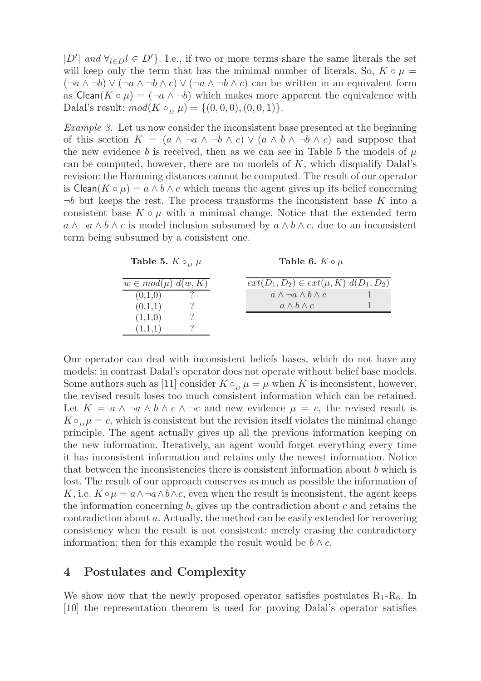|D'| and  $\forall_{l \in D} l \in D'$ . I.e., if two or more terms share the same literals the set will keep only the term that has the minimal number of literals. So,  $K \circ \mu =$  $(\neg a \land \neg b) \lor (\neg a \land \neg b \land c) \lor (\neg a \land \neg b \land c)$  can be written in an equivalent form as Clean( $K \circ \mu$ ) = (¬a  $\wedge \neg b$ ) which makes more apparent the equivalence with Dalal's result:  $mod(K \circ_{D} \mu) = \{(0, 0, 0), (0, 0, 1)\}.$ 

Example 3. Let us now consider the inconsistent base presented at the beginning of this section  $K = (a \land \neg a \land \neg b \land c) \lor (a \land b \land \neg b \land c)$  and suppose that the new evidence b is received, then as we can see in Table 5 the models of  $\mu$ can be computed, however, there are no models of  $K$ , which disqualify Dalal's revision: the Hamming distances cannot be computed. The result of our operator is  $\textsf{clean}(K \circ \mu) = a \land b \land c$  which means the agent gives up its belief concerning  $\neg b$  but keeps the rest. The process transforms the inconsistent base K into a consistent base  $K \circ \mu$  with a minimal change. Notice that the extended term  $a \wedge \neg a \wedge b \wedge c$  is model inclusion subsumed by  $a \wedge b \wedge c$ , due to an inconsistent term being subsumed by a consistent one.

Table 5. 
$$
K \circ_{\mathcal{D}} \mu
$$

Table 6.  $K \circ \mu$ 

| $w \in mod(\mu) d(w, K)$ | $ext(D_1, D_2) \in ext(\mu, K) d(D_1, D_2)$ |  |
|--------------------------|---------------------------------------------|--|
| (0,1,0)                  | $a \wedge \neg a \wedge b \wedge c$         |  |
| (0,1,1)                  | $a \wedge b \wedge c$                       |  |
| (1,1,0)                  |                                             |  |
| (1.1.1)                  |                                             |  |

Our operator can deal with inconsistent beliefs bases, which do not have any models; in contrast Dalal's operator does not operate without belief base models. Some authors such as [11] consider  $K \circ_{\rho} \mu = \mu$  when K is inconsistent, however, the revised result loses too much consistent information which can be retained. Let  $K = a \wedge \neg a \wedge b \wedge c \wedge \neg c$  and new evidence  $\mu = c$ , the revised result is  $K \circ_{\rho} \mu = c$ , which is consistent but the revision itself violates the minimal change principle. The agent actually gives up all the previous information keeping on the new information. Iteratively, an agent would forget everything every time it has inconsistent information and retains only the newest information. Notice that between the inconsistencies there is consistent information about b which is lost. The result of our approach conserves as much as possible the information of K, i.e.  $K \circ \mu = a \wedge \neg a \wedge b \wedge c$ , even when the result is inconsistent, the agent keeps the information concerning  $b$ , gives up the contradiction about  $c$  and retains the contradiction about a. Actually, the method can be easily extended for recovering consistency when the result is not consistent: merely erasing the contradictory information; then for this example the result would be  $b \wedge c$ .

## 4 Postulates and Complexity

We show now that the newly proposed operator satisfies postulates  $R_1-R_6$ . In [10] the representation theorem is used for proving Dalal's operator satisfies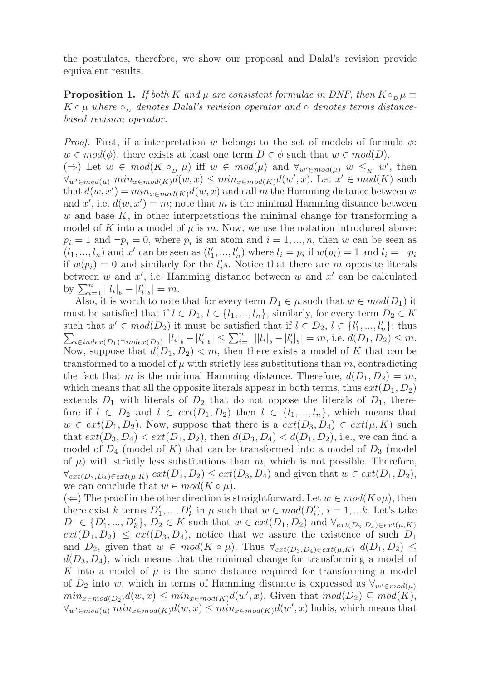the postulates, therefore, we show our proposal and Dalal's revision provide equivalent results.

**Proposition 1.** If both K and  $\mu$  are consistent formulae in DNF, then  $K \circ_{D} \mu \equiv$  $K \circ \mu$  where  $\circ_{D}$  denotes Dalal's revision operator and  $\circ$  denotes terms distancebased revision operator.

*Proof.* First, if a interpretation w belongs to the set of models of formula  $\phi$ :  $w \in mod(\phi)$ , there exists at least one term  $D \in \phi$  such that  $w \in mod(D)$ .  $(\Rightarrow)$  Let  $w \in mod(K \circ_{D} \mu)$  iff  $w \in mod(\mu)$  and  $\forall_{w' \in mod(\mu)} w \leq_{K} w'$ , then  $\forall_{w' \in mod(\mu)} \ min_{x \in mod(K)} d(w, x) \leq min_{x \in mod(K)} d(w', x)$ . Let  $x' \in mod(K)$  such that  $d(w, x') = min_{x \in mod(K)} d(w, x)$  and call m the Hamming distance between w and x', i.e.  $d(w, x') = m$ ; note that m is the minimal Hamming distance between w and base  $K$ , in other interpretations the minimal change for transforming a model of K into a model of  $\mu$  is m. Now, we use the notation introduced above:  $p_i = 1$  and  $\neg p_i = 0$ , where  $p_i$  is an atom and  $i = 1, ..., n$ , then w can be seen as  $(l_1, ..., l_n)$  and x' can be seen as  $(l'_1, ..., l'_n)$  where  $l_i = p_i$  if  $w(p_i) = 1$  and  $l_i = \neg p_i$ if  $w(p_i) = 0$  and similarly for the  $l_i$ 's. Notice that there are m opposite literals between  $w$  and  $x'$ , i.e. Hamming distance between  $w$  and  $x'$  can be calculated by  $\sum_{i=1}^{n} ||l_i|_b - |l'_i|_b| = m.$ 

Also, it is worth to note that for every term  $D_1 \in \mu$  such that  $w \in mod(D_1)$  it must be satisfied that if  $l \in D_1$ ,  $l \in \{l_1, ..., l_n\}$ , similarly, for every term  $D_2 \in K$ such that  $x' \in mod(D_2)$  it must be satisfied that if  $l \in D_2$ ,  $l \in \{l'_1, ..., l'_r\}$ such that  $x' \in mod(D_2)$  it must be satisfied that if  $l \in D_2$ ,  $l \in \{l'_1, ..., l'_n\}$ ; thus  $\sum_{i \in index(D_1) \cap index(D_2)} ||l_i|_b - |l'_i|_b| \le \sum_{i=1}^n ||l_i|_b - |l'_i|_b| = m$ , i.e.  $d(D_1, D_2) \le m$ . Now, suppose that  $d(D_1, D_2) < m$ , then there exists a model of K that can be transformed to a model of  $\mu$  with strictly less substitutions than  $m$ , contradicting the fact that m is the minimal Hamming distance. Therefore,  $d(D_1, D_2) = m$ , which means that all the opposite literals appear in both terms, thus  $ext(D_1, D_2)$ extends  $D_1$  with literals of  $D_2$  that do not oppose the literals of  $D_1$ , therefore if  $l \in D_2$  and  $l \in ext(D_1, D_2)$  then  $l \in \{l_1, ..., l_n\}$ , which means that  $w \in ext(D_1, D_2)$ . Now, suppose that there is a  $ext(D_3, D_4) \in ext(\mu, K)$  such that  $ext(D_3, D_4) < ext(D_1, D_2)$ , then  $d(D_3, D_4) < d(D_1, D_2)$ , i.e., we can find a model of  $D_4$  (model of K) that can be transformed into a model of  $D_3$  (model of  $\mu$ ) with strictly less substitutions than m, which is not possible. Therefore,  $\forall_{ext(D_3, D_4) \in ext(u,K)} \; ext(D_1, D_2) \leq ext(D_3, D_4)$  and given that  $w \in ext(D_1, D_2)$ , we can conclude that  $w \in mod(K \circ \mu)$ .

 $(\Leftarrow)$  The proof in the other direction is straightforward. Let  $w \in mod(K \circ \mu)$ , then there exist k terms  $D'_1, ..., D'_k$  in  $\mu$  such that  $w \in mod(D'_i)$ ,  $i = 1, ...k$ . Let's take  $D_1 \in \{D'_1, ..., D'_k\}, D_2 \in K$  such that  $w \in ext(D_1, D_2)$  and  $\forall_{ext(D_3, D_4) \in ext(\mu, K)}$  $ext(D_1, D_2) \leq ext(D_3, D_4)$ , notice that we assure the existence of such  $D_1$ and  $D_2$ , given that  $w \in mod(K \circ \mu)$ . Thus  $\forall_{ext(D_3,D_4) \in ext(\mu,K)} d(D_1, D_2) \leq$  $d(D_3, D_4)$ , which means that the minimal change for transforming a model of K into a model of  $\mu$  is the same distance required for transforming a model of  $D_2$  into w, which in terms of Hamming distance is expressed as  $\forall_{w' \in mod(\mu)}$  $min_{x \in mod(D_2)} d(w, x) \leq min_{x \in mod(K)} d(w', x)$ . Given that  $mod(D_2) \subseteq mod(K)$ ,  $\forall_{w' \in mod(\mu)} \ min_{x \in mod(K)} d(w, x) \leq \min_{x \in mod(K)} d(w', x)$  holds, which means that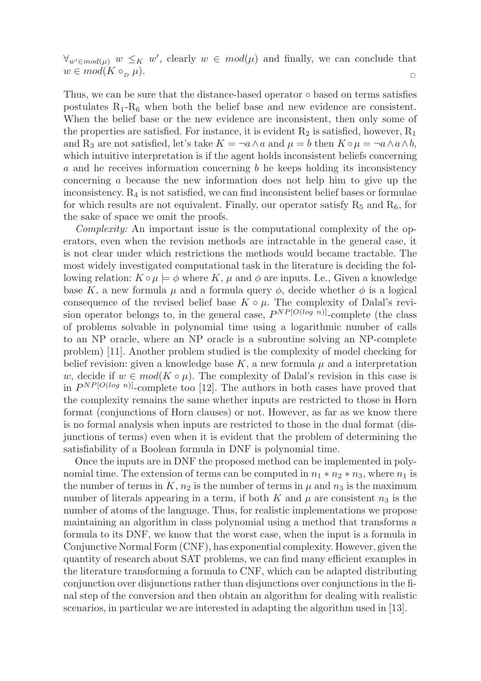$\forall_{w' \in mod(\mu)} \ w \leq_K w'$ , clearly  $w \in mod(\mu)$  and finally, we can conclude that  $w \in mod(K \circ_{D} \mu).$ 

Thus, we can be sure that the distance-based operator ◦ based on terms satisfies postulates  $R_1-R_6$  when both the belief base and new evidence are consistent. When the belief base or the new evidence are inconsistent, then only some of the properties are satisfied. For instance, it is evident  $R_2$  is satisfied, however,  $R_1$ and R<sub>3</sub> are not satisfied, let's take  $K = \neg a \wedge a$  and  $\mu = b$  then  $K \circ \mu = \neg a \wedge a \wedge b$ , which intuitive interpretation is if the agent holds inconsistent beliefs concerning a and he receives information concerning b he keeps holding its inconsistency concerning a because the new information does not help him to give up the inconsistency. R<sup>4</sup> is not satisfied, we can find inconsistent belief bases or formulae for which results are not equivalent. Finally, our operator satisfy  $R_5$  and  $R_6$ , for the sake of space we omit the proofs.

Complexity: An important issue is the computational complexity of the operators, even when the revision methods are intractable in the general case, it is not clear under which restrictions the methods would became tractable. The most widely investigated computational task in the literature is deciding the following relation:  $K \circ \mu \models \phi$  where K,  $\mu$  and  $\phi$  are inputs. I.e., Given a knowledge base K, a new formula  $\mu$  and a formula query  $\phi$ , decide whether  $\phi$  is a logical consequence of the revised belief base  $K \circ \mu$ . The complexity of Dalal's revision operator belongs to, in the general case,  $P^{NP[O(log n)]}$ -complete (the class of problems solvable in polynomial time using a logarithmic number of calls to an NP oracle, where an NP oracle is a subroutine solving an NP-complete problem) [11]. Another problem studied is the complexity of model checking for belief revision: given a knowledge base  $K$ , a new formula  $\mu$  and a interpretation w, decide if  $w \in mod(K \circ \mu)$ . The complexity of Dalal's revision in this case is in  $P^{NP[O(log n)]}$ -complete too [12]. The authors in both cases have proved that the complexity remains the same whether inputs are restricted to those in Horn format (conjunctions of Horn clauses) or not. However, as far as we know there is no formal analysis when inputs are restricted to those in the dual format (disjunctions of terms) even when it is evident that the problem of determining the satisfiability of a Boolean formula in DNF is polynomial time.

Once the inputs are in DNF the proposed method can be implemented in polynomial time. The extension of terms can be computed in  $n_1 * n_2 * n_3$ , where  $n_1$  is the number of terms in K,  $n_2$  is the number of terms in  $\mu$  and  $n_3$  is the maximum number of literals appearing in a term, if both K and  $\mu$  are consistent  $n_3$  is the number of atoms of the language. Thus, for realistic implementations we propose maintaining an algorithm in class polynomial using a method that transforms a formula to its DNF, we know that the worst case, when the input is a formula in Conjunctive Normal Form (CNF), has exponential complexity. However, given the quantity of research about SAT problems, we can find many efficient examples in the literature transforming a formula to CNF, which can be adapted distributing conjunction over disjunctions rather than disjunctions over conjunctions in the final step of the conversion and then obtain an algorithm for dealing with realistic scenarios, in particular we are interested in adapting the algorithm used in [13].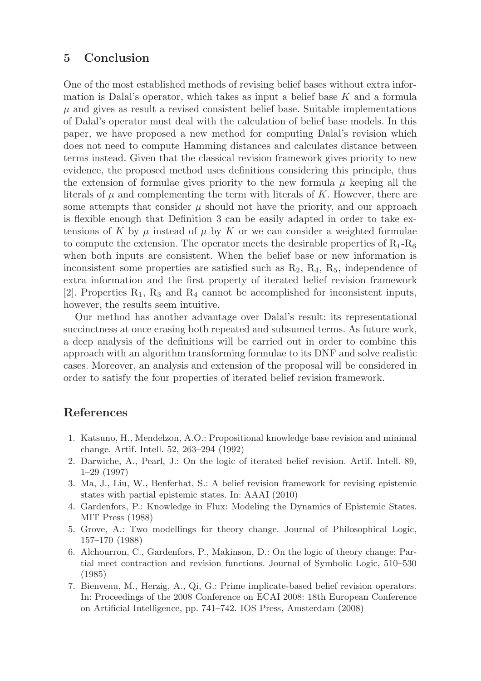## 5 Conclusion

One of the most established methods of revising belief bases without extra information is Dalal's operator, which takes as input a belief base  $K$  and a formula  $\mu$  and gives as result a revised consistent belief base. Suitable implementations of Dalal's operator must deal with the calculation of belief base models. In this paper, we have proposed a new method for computing Dalal's revision which does not need to compute Hamming distances and calculates distance between terms instead. Given that the classical revision framework gives priority to new evidence, the proposed method uses definitions considering this principle, thus the extension of formulae gives priority to the new formula  $\mu$  keeping all the literals of  $\mu$  and complementing the term with literals of K. However, there are some attempts that consider  $\mu$  should not have the priority, and our approach is flexible enough that Definition 3 can be easily adapted in order to take extensions of K by  $\mu$  instead of  $\mu$  by K or we can consider a weighted formulae to compute the extension. The operator meets the desirable properties of  $R_1-R_6$ when both inputs are consistent. When the belief base or new information is inconsistent some properties are satisfied such as  $R_2$ ,  $R_4$ ,  $R_5$ , independence of extra information and the first property of iterated belief revision framework [2]. Properties  $R_1$ ,  $R_3$  and  $R_4$  cannot be accomplished for inconsistent inputs, however, the results seem intuitive.

Our method has another advantage over Dalal's result: its representational succinctness at once erasing both repeated and subsumed terms. As future work, a deep analysis of the definitions will be carried out in order to combine this approach with an algorithm transforming formulae to its DNF and solve realistic cases. Moreover, an analysis and extension of the proposal will be considered in order to satisfy the four properties of iterated belief revision framework.

## References

- 1. Katsuno, H., Mendelzon, A.O.: Propositional knowledge base revision and minimal change. Artif. Intell. 52, 263–294 (1992)
- 2. Darwiche, A., Pearl, J.: On the logic of iterated belief revision. Artif. Intell. 89, 1–29 (1997)
- 3. Ma, J., Liu, W., Benferhat, S.: A belief revision framework for revising epistemic states with partial epistemic states. In: AAAI (2010)
- 4. Gardenfors, P.: Knowledge in Flux: Modeling the Dynamics of Epistemic States. MIT Press (1988)
- 5. Grove, A.: Two modellings for theory change. Journal of Philosophical Logic, 157–170 (1988)
- 6. Alchourron, C., Gardenfors, P., Makinson, D.: On the logic of theory change: Partial meet contraction and revision functions. Journal of Symbolic Logic, 510–530 (1985)
- 7. Bienvenu, M., Herzig, A., Qi, G.: Prime implicate-based belief revision operators. In: Proceedings of the 2008 Conference on ECAI 2008: 18th European Conference on Artificial Intelligence, pp. 741–742. IOS Press, Amsterdam (2008)